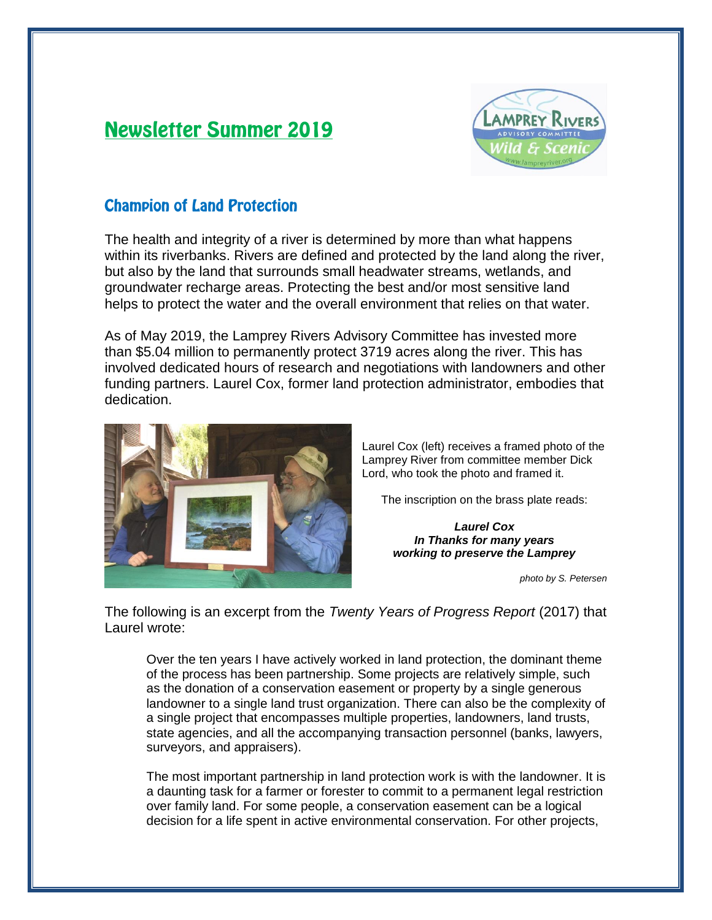# **Newsletter Summer 2019**



## **Champion of Land Protection**

The health and integrity of a river is determined by more than what happens within its riverbanks. Rivers are defined and protected by the land along the river, but also by the land that surrounds small headwater streams, wetlands, and groundwater recharge areas. Protecting the best and/or most sensitive land helps to protect the water and the overall environment that relies on that water.

As of May 2019, the Lamprey Rivers Advisory Committee has invested more than \$5.04 million to permanently protect 3719 acres along the river. This has involved dedicated hours of research and negotiations with landowners and other funding partners. Laurel Cox, former land protection administrator, embodies that dedication.



Laurel Cox (left) receives a framed photo of the Lamprey River from committee member Dick Lord, who took the photo and framed it.

The inscription on the brass plate reads:

*Laurel Cox In Thanks for many years working to preserve the Lamprey*

*photo by S. Petersen*

The following is an excerpt from the *Twenty Years of Progress Report* (2017) that Laurel wrote:

Over the ten years I have actively worked in land protection, the dominant theme of the process has been partnership. Some projects are relatively simple, such as the donation of a conservation easement or property by a single generous landowner to a single land trust organization. There can also be the complexity of a single project that encompasses multiple properties, landowners, land trusts, state agencies, and all the accompanying transaction personnel (banks, lawyers, surveyors, and appraisers).

The most important partnership in land protection work is with the landowner. It is a daunting task for a farmer or forester to commit to a permanent legal restriction over family land. For some people, a conservation easement can be a logical decision for a life spent in active environmental conservation. For other projects,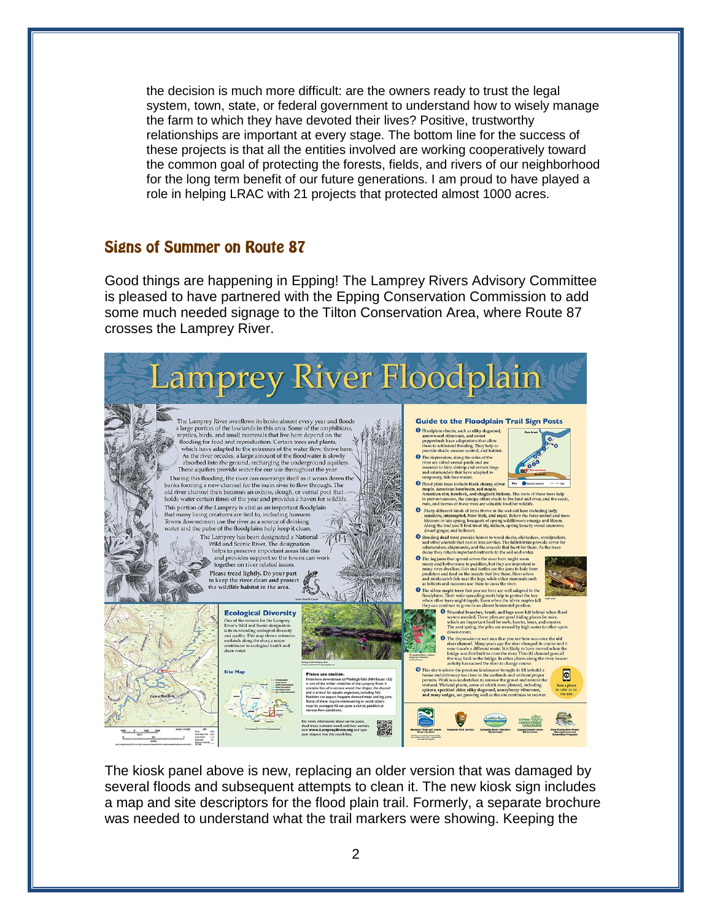the decision is much more difficult: are the owners ready to trust the legal system, town, state, or federal government to understand how to wisely manage the farm to which they have devoted their lives? Positive, trustworthy relationships are important at every stage. The bottom line for the success of these projects is that all the entities involved are working cooperatively toward the common goal of protecting the forests, fields, and rivers of our neighborhood for the long term benefit of our future generations. I am proud to have played a role in helping LRAC with 21 projects that protected almost 1000 acres.

#### **Signs of Summer on Route 87**

Good things are happening in Epping! The Lamprey Rivers Advisory Committee is pleased to have partnered with the Epping Conservation Commission to add some much needed signage to the Tilton Conservation Area, where Route 87 crosses the Lamprey River.



The kiosk panel above is new, replacing an older version that was damaged by several floods and subsequent attempts to clean it. The new kiosk sign includes a map and site descriptors for the flood plain trail. Formerly, a separate brochure was needed to understand what the trail markers were showing. Keeping the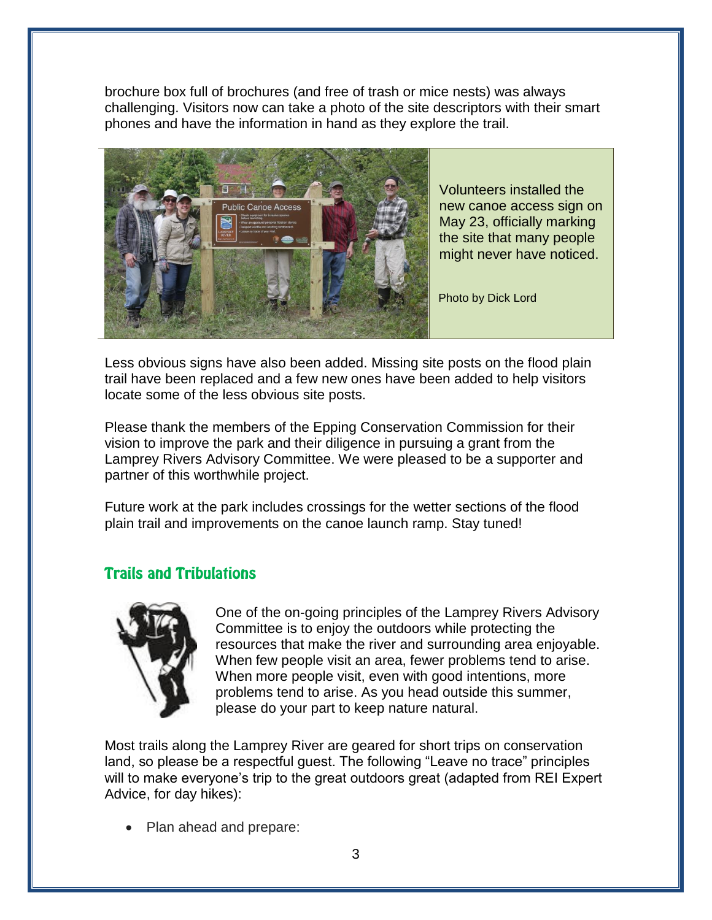brochure box full of brochures (and free of trash or mice nests) was always challenging. Visitors now can take a photo of the site descriptors with their smart phones and have the information in hand as they explore the trail.



Volunteers installed the new canoe access sign on May 23, officially marking the site that many people might never have noticed.

Photo by Dick Lord

Less obvious signs have also been added. Missing site posts on the flood plain trail have been replaced and a few new ones have been added to help visitors locate some of the less obvious site posts.

Please thank the members of the Epping Conservation Commission for their vision to improve the park and their diligence in pursuing a grant from the Lamprey Rivers Advisory Committee. We were pleased to be a supporter and partner of this worthwhile project.

Future work at the park includes crossings for the wetter sections of the flood plain trail and improvements on the canoe launch ramp. Stay tuned!

### **Trails and Tribulations**



One of the on-going principles of the Lamprey Rivers Advisory Committee is to enjoy the outdoors while protecting the resources that make the river and surrounding area enjoyable. When few people visit an area, fewer problems tend to arise. When more people visit, even with good intentions, more problems tend to arise. As you head outside this summer, please do your part to keep nature natural.

Most trails along the Lamprey River are geared for short trips on conservation land, so please be a respectful guest. The following "Leave no trace" principles will to make everyone's trip to the great outdoors great (adapted from REI Expert Advice, for day hikes):

Plan ahead and prepare: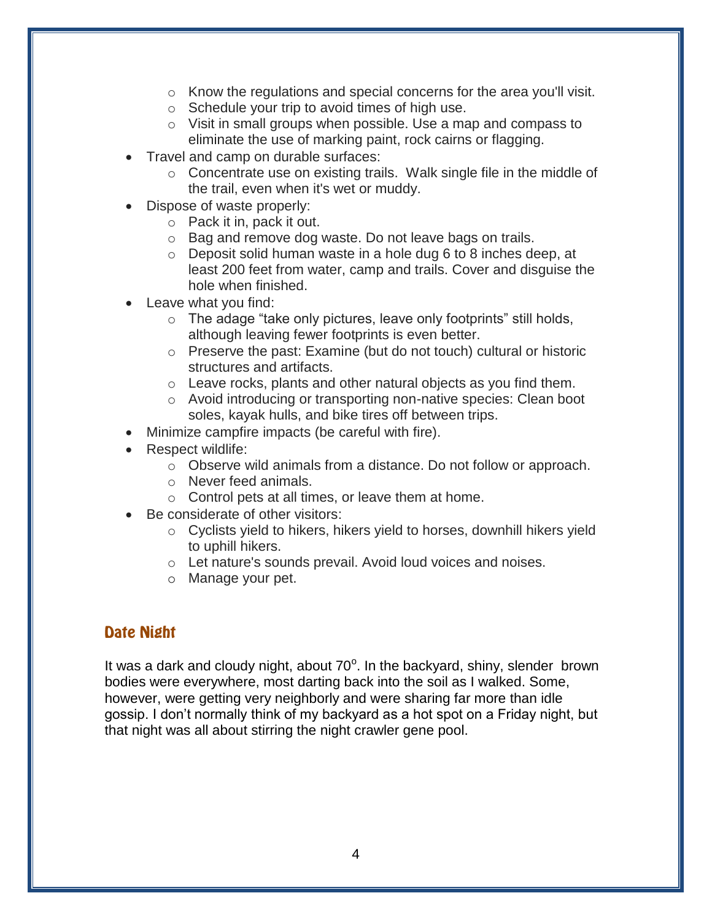- o Know the regulations and special concerns for the area you'll visit.
- o Schedule your trip to avoid times of high use.
- o Visit in small groups when possible. Use a map and compass to eliminate the use of marking paint, rock cairns or flagging.
- Travel and camp on durable surfaces:
	- o Concentrate use on existing trails. Walk single file in the middle of the trail, even when it's wet or muddy.
- Dispose of waste properly:
	- o Pack it in, pack it out.
	- o Bag and remove dog waste. Do not leave bags on trails.
	- $\circ$  Deposit solid human waste in a hole dug 6 to 8 inches deep, at least 200 feet from water, camp and trails. Cover and disguise the hole when finished.
- Leave what you find:
	- o The adage "take only pictures, leave only footprints" still holds, although leaving fewer footprints is even better.
	- o Preserve the past: Examine (but do not touch) cultural or historic structures and artifacts.
	- o Leave rocks, plants and other natural objects as you find them.
	- o Avoid introducing or transporting non-native species: Clean boot soles, kayak hulls, and bike tires off between trips.
- Minimize campfire impacts (be careful with fire).
- Respect wildlife:
	- o Observe wild animals from a distance. Do not follow or approach.
	- o Never feed animals.
	- o Control pets at all times, or leave them at home.
- Be considerate of other visitors:
	- o Cyclists yield to hikers, hikers yield to horses, downhill hikers yield to uphill hikers.
	- o Let nature's sounds prevail. Avoid loud voices and noises.
	- o Manage your pet.

#### Date Night

It was a dark and cloudy night, about  $70^{\circ}$ . In the backyard, shiny, slender brown bodies were everywhere, most darting back into the soil as I walked. Some, however, were getting very neighborly and were sharing far more than idle gossip. I don't normally think of my backyard as a hot spot on a Friday night, but that night was all about stirring the night crawler gene pool.